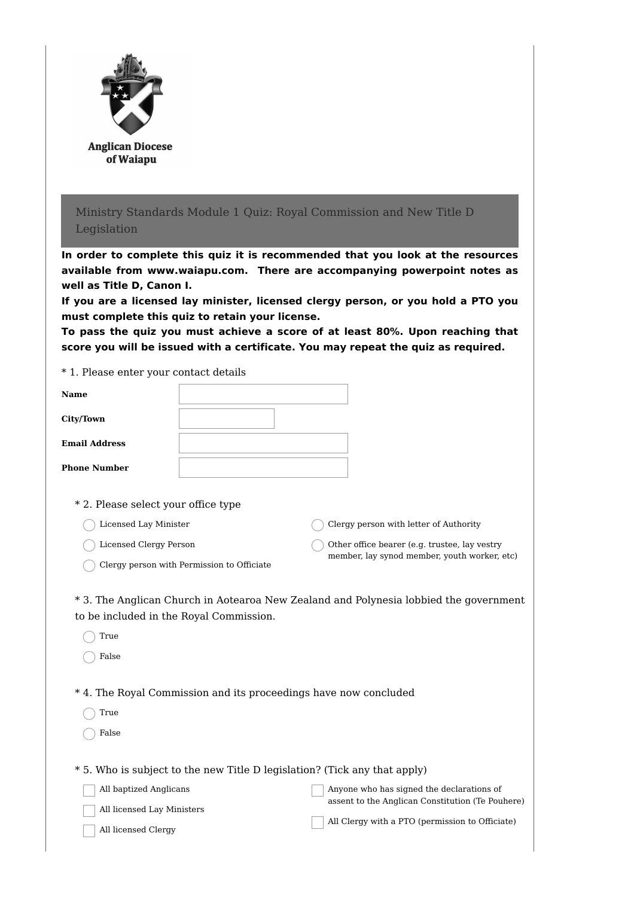| <b>Anglican Diocese</b><br>of Waiapu                                                          |                                                                                                                                                                                                                                                                                                                                                                                                                                                                            |
|-----------------------------------------------------------------------------------------------|----------------------------------------------------------------------------------------------------------------------------------------------------------------------------------------------------------------------------------------------------------------------------------------------------------------------------------------------------------------------------------------------------------------------------------------------------------------------------|
| Legislation                                                                                   | Ministry Standards Module 1 Quiz: Royal Commission and New Title D                                                                                                                                                                                                                                                                                                                                                                                                         |
| well as Title D, Canon I.                                                                     | In order to complete this quiz it is recommended that you look at the resources<br>available from www.waiapu.com. There are accompanying powerpoint notes as<br>If you are a licensed lay minister, licensed clergy person, or you hold a PTO you<br>must complete this quiz to retain your license.<br>To pass the quiz you must achieve a score of at least 80%. Upon reaching that<br>score you will be issued with a certificate. You may repeat the quiz as required. |
| * 1. Please enter your contact details                                                        |                                                                                                                                                                                                                                                                                                                                                                                                                                                                            |
| <b>Name</b>                                                                                   |                                                                                                                                                                                                                                                                                                                                                                                                                                                                            |
| City/Town                                                                                     |                                                                                                                                                                                                                                                                                                                                                                                                                                                                            |
| <b>Email Address</b>                                                                          |                                                                                                                                                                                                                                                                                                                                                                                                                                                                            |
| <b>Phone Number</b>                                                                           |                                                                                                                                                                                                                                                                                                                                                                                                                                                                            |
| * 2. Please select your office type<br><b>Licensed Lay Minister</b><br>Licensed Clergy Person | Clergy person with letter of Authority<br>Other office bearer (e.g. trustee, lay vestry<br>member, lay synod member, youth worker, etc)<br>Clergy person with Permission to Officiate                                                                                                                                                                                                                                                                                      |
| to be included in the Royal Commission.<br>True<br>False                                      | * 3. The Anglican Church in Aotearoa New Zealand and Polynesia lobbied the government                                                                                                                                                                                                                                                                                                                                                                                      |
| True<br>False                                                                                 | *4. The Royal Commission and its proceedings have now concluded                                                                                                                                                                                                                                                                                                                                                                                                            |
| All baptized Anglicans<br>All licensed Lay Ministers<br>All licensed Clergy                   | * 5. Who is subject to the new Title D legislation? (Tick any that apply)<br>Anyone who has signed the declarations of<br>assent to the Anglican Constitution (Te Pouhere)<br>All Clergy with a PTO (permission to Officiate)                                                                                                                                                                                                                                              |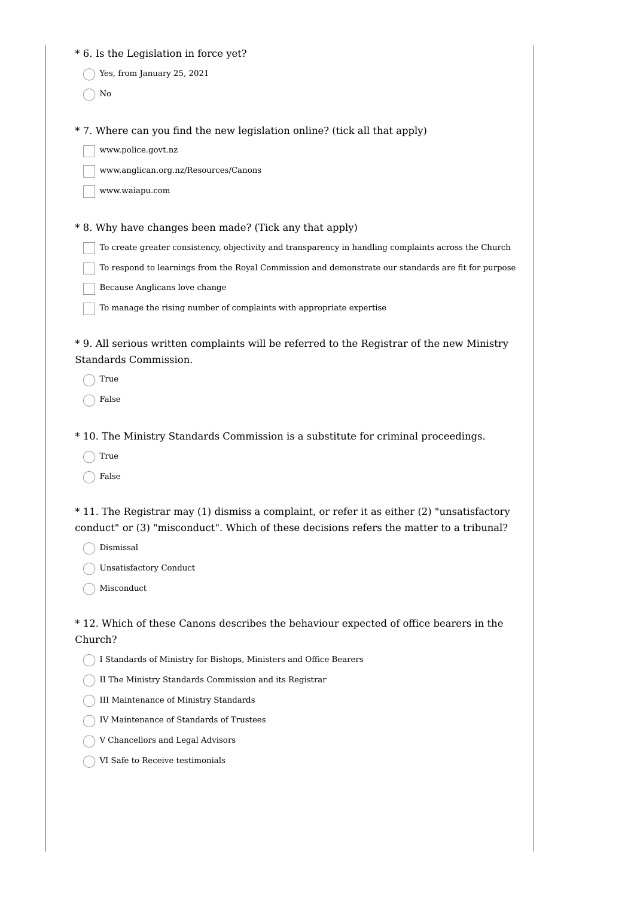|  |  |  | * 6. Is the Legislation in force yet? |  |  |  |  |
|--|--|--|---------------------------------------|--|--|--|--|
|--|--|--|---------------------------------------|--|--|--|--|

Yes, from January 25, 2021

 $\bigcap$  No

\* 7. Where can you find the new legislation online? (tick all that apply)

www.police.govt.nz

www.anglican.org.nz/Resources/Canons

www.waiapu.com

\* 8. Why have changes been made? (Tick any that apply)

To create greater consistency, objectivity and transparency in handling complaints across the Church

To respond to learnings from the Royal Commission and demonstrate our standards are fit for purpose

Because Anglicans love change

To manage the rising number of complaints with appropriate expertise

\* 9. All serious written complaints will be referred to the Registrar of the new Ministry Standards Commission.

 $\bigcap$  True

False

\* 10. The Ministry Standards Commission is a substitute for criminal proceedings.

True

 $\bigcap$  False

\* 11. The Registrar may (1) dismiss a complaint, or refer it as either (2) "unsatisfactory conduct" or (3) "misconduct". Which of these decisions refers the matter to a tribunal?

Dismissal

Unsatisfactory Conduct

 $\bigcap$  Misconduct

\* 12. Which of these Canons describes the behaviour expected of office bearers in the Church?

I Standards of Ministry for Bishops, Ministers and Office Bearers

II The Ministry Standards Commission and its Registrar

III Maintenance of Ministry Standards

IV Maintenance of Standards of Trustees

 $\bigcap$  V Chancellors and Legal Advisors

 $\bigcap$ VI Safe to Receive testimonials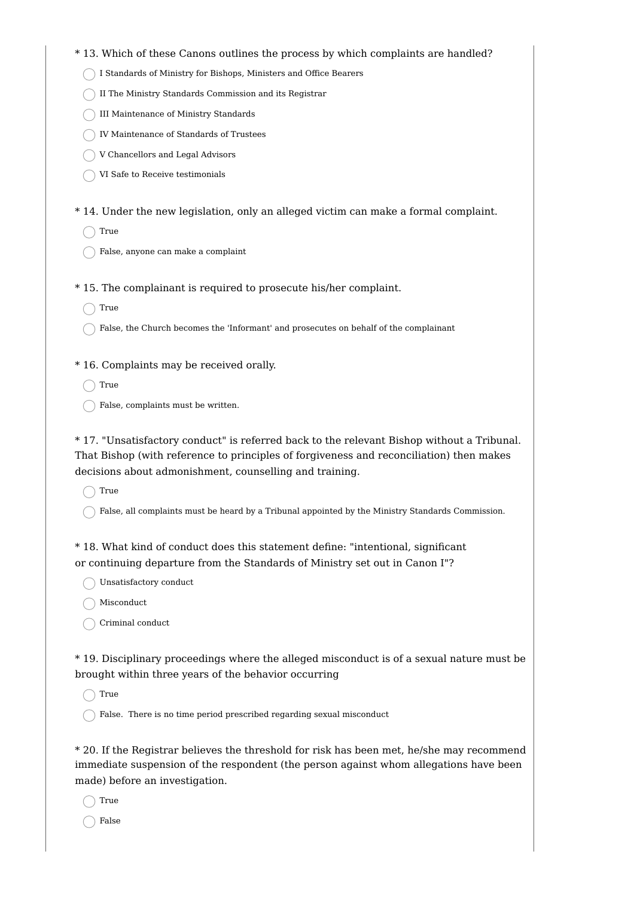- \* 13. Which of these Canons outlines the process by which complaints are handled?
	- I Standards of Ministry for Bishops, Ministers and Office Bearers
	- $\bigcap$  II The Ministry Standards Commission and its Registrar
	- III Maintenance of Ministry Standards
	- IV Maintenance of Standards of Trustees
	- V Chancellors and Legal Advisors
	- VI Safe to Receive testimonials
- \* 14. Under the new legislation, only an alleged victim can make a formal complaint.

 $\bigcap$  True

- False, anyone can make a complaint
- \* 15. The complainant is required to prosecute his/her complaint.
	- $\bigcap$  True
	- False, the Church becomes the 'Informant' and prosecutes on behalf of the complainant
- \* 16. Complaints may be received orally.
	- $\bigcap$  True
	- $\bigcap$  False, complaints must be written.

\* 17. "Unsatisfactory conduct" is referred back to the relevant Bishop without a Tribunal. That Bishop (with reference to principles of forgiveness and reconciliation) then makes decisions about admonishment, counselling and training.

 $\bigcap$  True

 $\bigcap$  False, all complaints must be heard by a Tribunal appointed by the Ministry Standards Commission.

\* 18. What kind of conduct does this statement define: "intentional, significant or continuing departure from the Standards of Ministry set out in Canon I"?

◯ Unsatisfactory conduct

Misconduct

Criminal conduct

\* 19. Disciplinary proceedings where the alleged misconduct is of a sexual nature must be brought within three years of the behavior occurring

True

False. There is no time period prescribed regarding sexual misconduct

\* 20. If the Registrar believes the threshold for risk has been met, he/she may recommend immediate suspension of the respondent (the person against whom allegations have been made) before an investigation.

True

False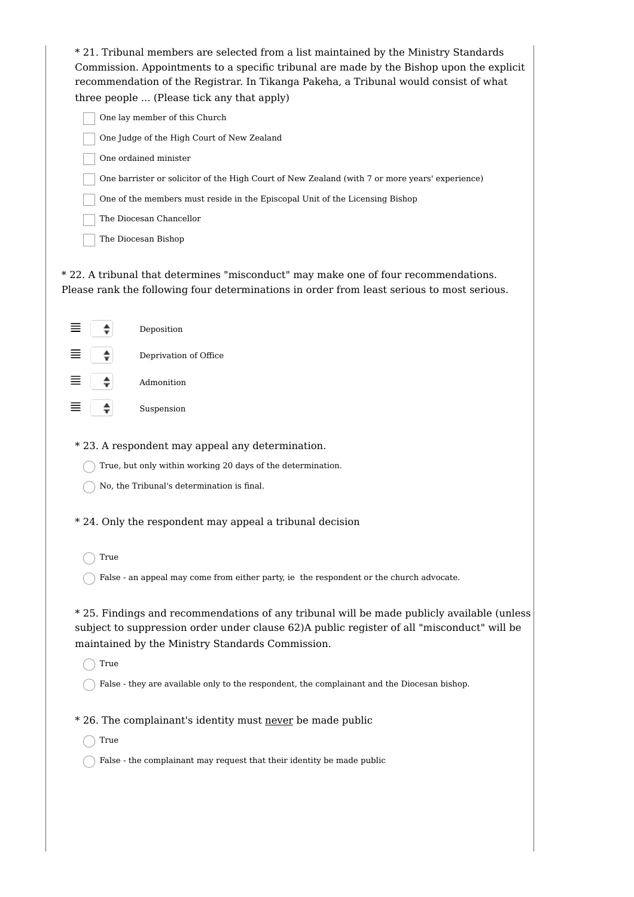| * 21. Tribunal members are selected from a list maintained by the Ministry Standards<br>Commission. Appointments to a specific tribunal are made by the Bishop upon the explicit<br>recommendation of the Registrar. In Tikanga Pakeha, a Tribunal would consist of what<br>three people  (Please tick any that apply) |  |  |  |  |
|------------------------------------------------------------------------------------------------------------------------------------------------------------------------------------------------------------------------------------------------------------------------------------------------------------------------|--|--|--|--|
| One lay member of this Church                                                                                                                                                                                                                                                                                          |  |  |  |  |
| One Judge of the High Court of New Zealand                                                                                                                                                                                                                                                                             |  |  |  |  |
| One ordained minister                                                                                                                                                                                                                                                                                                  |  |  |  |  |
| One barrister or solicitor of the High Court of New Zealand (with 7 or more years' experience)                                                                                                                                                                                                                         |  |  |  |  |
| One of the members must reside in the Episcopal Unit of the Licensing Bishop                                                                                                                                                                                                                                           |  |  |  |  |
| The Diocesan Chancellor                                                                                                                                                                                                                                                                                                |  |  |  |  |
| The Diocesan Bishop                                                                                                                                                                                                                                                                                                    |  |  |  |  |
| * 22. A tribunal that determines "misconduct" may make one of four recommendations.<br>Please rank the following four determinations in order from least serious to most serious.                                                                                                                                      |  |  |  |  |
| ≡<br>Deposition                                                                                                                                                                                                                                                                                                        |  |  |  |  |
| Deprivation of Office                                                                                                                                                                                                                                                                                                  |  |  |  |  |
| Admonition                                                                                                                                                                                                                                                                                                             |  |  |  |  |
| Suspension                                                                                                                                                                                                                                                                                                             |  |  |  |  |
| * 23. A respondent may appeal any determination.                                                                                                                                                                                                                                                                       |  |  |  |  |
| True, but only within working 20 days of the determination.                                                                                                                                                                                                                                                            |  |  |  |  |
| No, the Tribunal's determination is final.                                                                                                                                                                                                                                                                             |  |  |  |  |
| $\ast$<br>24. Only the respondent may appeal a tribunal decision                                                                                                                                                                                                                                                       |  |  |  |  |
| True                                                                                                                                                                                                                                                                                                                   |  |  |  |  |
| False - an appeal may come from either party, ie the respondent or the church advocate.                                                                                                                                                                                                                                |  |  |  |  |
| * 25. Findings and recommendations of any tribunal will be made publicly available (unless<br>subject to suppression order under clause 62)A public register of all "misconduct" will be<br>maintained by the Ministry Standards Commission.                                                                           |  |  |  |  |
| True                                                                                                                                                                                                                                                                                                                   |  |  |  |  |
| False - they are available only to the respondent, the complainant and the Diocesan bishop.                                                                                                                                                                                                                            |  |  |  |  |
| * 26. The complainant's identity must never be made public                                                                                                                                                                                                                                                             |  |  |  |  |
| True                                                                                                                                                                                                                                                                                                                   |  |  |  |  |
| False - the complainant may request that their identity be made public                                                                                                                                                                                                                                                 |  |  |  |  |
|                                                                                                                                                                                                                                                                                                                        |  |  |  |  |